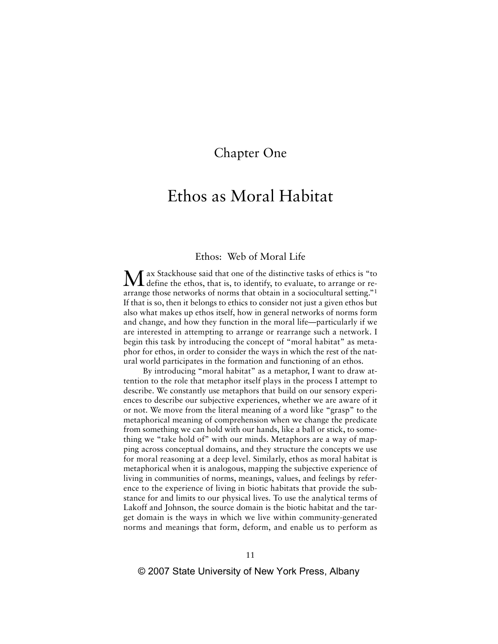# Chapter One

# Ethos as Moral Habitat

### Ethos: Web of Moral Life

 $\bf{M}$  ax Stackhouse said that one of the distinctive tasks of ethics is "to define the ethos, that is, to identify, to evaluate, to arrange or rearrange those networks of norms that obtain in a sociocultural setting."1 If that is so, then it belongs to ethics to consider not just a given ethos but also what makes up ethos itself, how in general networks of norms form and change, and how they function in the moral life—particularly if we are interested in attempting to arrange or rearrange such a network. I begin this task by introducing the concept of "moral habitat" as metaphor for ethos, in order to consider the ways in which the rest of the natural world participates in the formation and functioning of an ethos.

By introducing "moral habitat" as a metaphor, I want to draw attention to the role that metaphor itself plays in the process I attempt to describe. We constantly use metaphors that build on our sensory experiences to describe our subjective experiences, whether we are aware of it or not. We move from the literal meaning of a word like "grasp" to the metaphorical meaning of comprehension when we change the predicate from something we can hold with our hands, like a ball or stick, to something we "take hold of" with our minds. Metaphors are a way of mapping across conceptual domains, and they structure the concepts we use for moral reasoning at a deep level. Similarly, ethos as moral habitat is metaphorical when it is analogous, mapping the subjective experience of living in communities of norms, meanings, values, and feelings by reference to the experience of living in biotic habitats that provide the substance for and limits to our physical lives. To use the analytical terms of Lakoff and Johnson, the source domain is the biotic habitat and the target domain is the ways in which we live within community-generated norms and meanings that form, deform, and enable us to perform as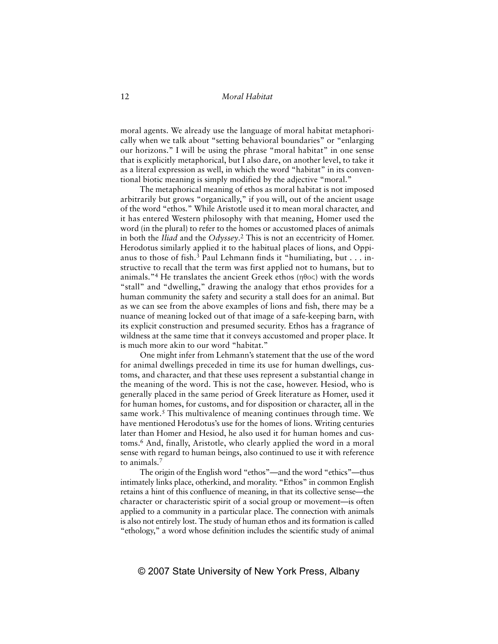moral agents. We already use the language of moral habitat metaphorically when we talk about "setting behavioral boundaries" or "enlarging our horizons." I will be using the phrase "moral habitat" in one sense that is explicitly metaphorical, but I also dare, on another level, to take it as a literal expression as well, in which the word "habitat" in its conventional biotic meaning is simply modified by the adjective "moral."

The metaphorical meaning of ethos as moral habitat is not imposed arbitrarily but grows "organically," if you will, out of the ancient usage of the word "ethos*.*" While Aristotle used it to mean moral character, and it has entered Western philosophy with that meaning, Homer used the word (in the plural) to refer to the homes or accustomed places of animals in both the *Iliad* and the *Odyssey*. <sup>2</sup> This is not an eccentricity of Homer. Herodotus similarly applied it to the habitual places of lions, and Oppianus to those of fish.<sup>3</sup> Paul Lehmann finds it "humiliating, but  $\dots$  instructive to recall that the term was first applied not to humans, but to animals."<sup>4</sup> He translates the ancient Greek ethos ( $\eta \theta$ o $\varsigma$ ) with the words "stall" and "dwelling," drawing the analogy that ethos provides for a human community the safety and security a stall does for an animal. But as we can see from the above examples of lions and fish, there may be a nuance of meaning locked out of that image of a safe-keeping barn, with its explicit construction and presumed security. Ethos has a fragrance of wildness at the same time that it conveys accustomed and proper place. It is much more akin to our word "habitat."

One might infer from Lehmann's statement that the use of the word for animal dwellings preceded in time its use for human dwellings, customs, and character, and that these uses represent a substantial change in the meaning of the word. This is not the case, however. Hesiod, who is generally placed in the same period of Greek literature as Homer, used it for human homes, for customs, and for disposition or character, all in the same work.<sup>5</sup> This multivalence of meaning continues through time. We have mentioned Herodotus's use for the homes of lions. Writing centuries later than Homer and Hesiod, he also used it for human homes and customs.6 And, finally, Aristotle, who clearly applied the word in a moral sense with regard to human beings, also continued to use it with reference to animals.7

The origin of the English word "ethos"—and the word "ethics"—thus intimately links place, otherkind, and morality. "Ethos" in common English retains a hint of this confluence of meaning, in that its collective sense—the character or characteristic spirit of a social group or movement—is often applied to a community in a particular place. The connection with animals is also not entirely lost. The study of human ethos and its formation is called "ethology," a word whose definition includes the scientific study of animal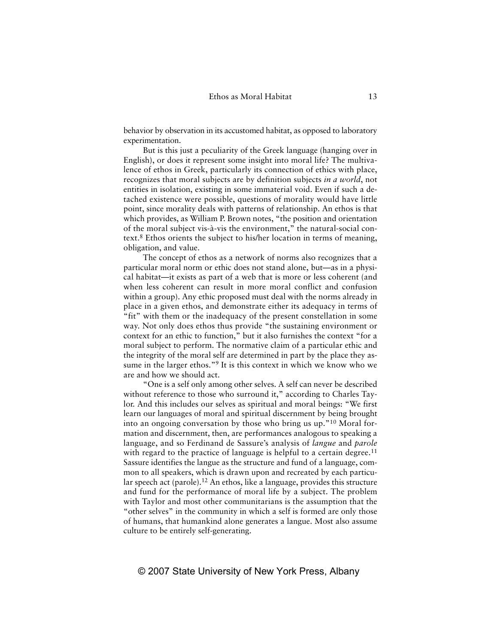behavior by observation in its accustomed habitat, as opposed to laboratory experimentation.

But is this just a peculiarity of the Greek language (hanging over in English), or does it represent some insight into moral life? The multivalence of ethos in Greek, particularly its connection of ethics with place, recognizes that moral subjects are by definition subjects *in a world*, not entities in isolation, existing in some immaterial void. Even if such a detached existence were possible, questions of morality would have little point, since morality deals with patterns of relationship. An ethos is that which provides, as William P. Brown notes, "the position and orientation of the moral subject vis-à-vis the environment," the natural-social context.8 Ethos orients the subject to his/her location in terms of meaning, obligation, and value.

The concept of ethos as a network of norms also recognizes that a particular moral norm or ethic does not stand alone, but—as in a physical habitat—it exists as part of a web that is more or less coherent (and when less coherent can result in more moral conflict and confusion within a group). Any ethic proposed must deal with the norms already in place in a given ethos, and demonstrate either its adequacy in terms of "fit" with them or the inadequacy of the present constellation in some way. Not only does ethos thus provide "the sustaining environment or context for an ethic to function," but it also furnishes the context "for a moral subject to perform. The normative claim of a particular ethic and the integrity of the moral self are determined in part by the place they assume in the larger ethos."<sup>9</sup> It is this context in which we know who we are and how we should act.

"One is a self only among other selves. A self can never be described without reference to those who surround it," according to Charles Taylor. And this includes our selves as spiritual and moral beings: "We first learn our languages of moral and spiritual discernment by being brought into an ongoing conversation by those who bring us up."10 Moral formation and discernment, then, are performances analogous to speaking a language, and so Ferdinand de Sassure's analysis of *langue* and *parole* with regard to the practice of language is helpful to a certain degree.<sup>11</sup> Sassure identifies the langue as the structure and fund of a language, common to all speakers, which is drawn upon and recreated by each particular speech act (parole).12 An ethos, like a language, provides this structure and fund for the performance of moral life by a subject. The problem with Taylor and most other communitarians is the assumption that the "other selves" in the community in which a self is formed are only those of humans, that humankind alone generates a langue. Most also assume culture to be entirely self-generating.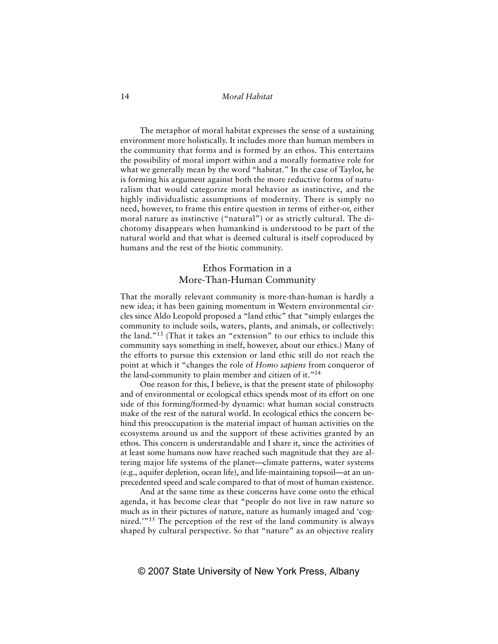#### 14 *Moral Habitat*

The metaphor of moral habitat expresses the sense of a sustaining environment more holistically. It includes more than human members in the community that forms and is formed by an ethos. This entertains the possibility of moral import within and a morally formative role for what we generally mean by the word "habitat." In the case of Taylor, he is forming his argument against both the more reductive forms of naturalism that would categorize moral behavior as instinctive, and the highly individualistic assumptions of modernity. There is simply no need, however, to frame this entire question in terms of either-or, either moral nature as instinctive ("natural") or as strictly cultural. The dichotomy disappears when humankind is understood to be part of the natural world and that what is deemed cultural is itself coproduced by humans and the rest of the biotic community.

# Ethos Formation in a More-Than-Human Community

That the morally relevant community is more-than-human is hardly a new idea; it has been gaining momentum in Western environmental circles since Aldo Leopold proposed a "land ethic" that "simply enlarges the community to include soils, waters, plants, and animals, or collectively: the land."13 (That it takes an "extension" to our ethics to include this community says something in itself, however, about our ethics.) Many of the efforts to pursue this extension or land ethic still do not reach the point at which it "changes the role of *Homo sapiens* from conqueror of the land-community to plain member and citizen of it."14

One reason for this, I believe, is that the present state of philosophy and of environmental or ecological ethics spends most of its effort on one side of this forming/formed-by dynamic: what human social constructs make of the rest of the natural world. In ecological ethics the concern behind this preoccupation is the material impact of human activities on the ecosystems around us and the support of these activities granted by an ethos. This concern is understandable and I share it, since the activities of at least some humans now have reached such magnitude that they are altering major life systems of the planet—climate patterns, water systems (e.g., aquifer depletion, ocean life), and life-maintaining topsoil—at an unprecedented speed and scale compared to that of most of human existence.

And at the same time as these concerns have come onto the ethical agenda, it has become clear that "people do not live in raw nature so much as in their pictures of nature, nature as humanly imaged and 'cognized.'"15 The perception of the rest of the land community is always shaped by cultural perspective. So that "nature" as an objective reality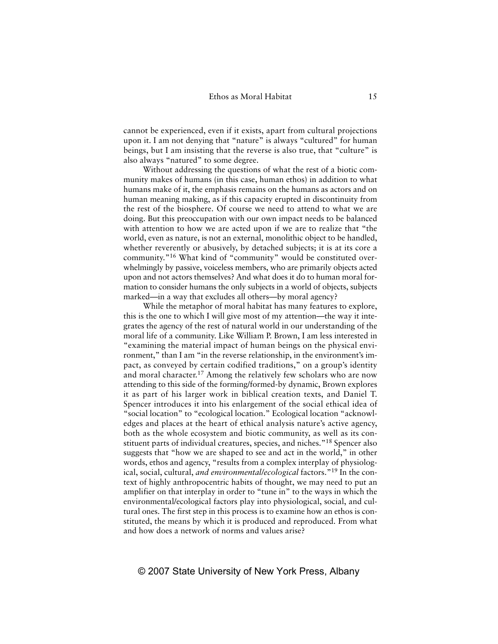cannot be experienced, even if it exists, apart from cultural projections upon it. I am not denying that "nature" is always "cultured" for human beings, but I am insisting that the reverse is also true, that "culture" is also always "natured" to some degree.

Without addressing the questions of what the rest of a biotic community makes of humans (in this case, human ethos) in addition to what humans make of it, the emphasis remains on the humans as actors and on human meaning making, as if this capacity erupted in discontinuity from the rest of the biosphere. Of course we need to attend to what we are doing. But this preoccupation with our own impact needs to be balanced with attention to how we are acted upon if we are to realize that "the world, even as nature, is not an external, monolithic object to be handled, whether reverently or abusively, by detached subjects; it is at its core a community."16 What kind of "community" would be constituted overwhelmingly by passive, voiceless members, who are primarily objects acted upon and not actors themselves? And what does it do to human moral formation to consider humans the only subjects in a world of objects, subjects marked—in a way that excludes all others—by moral agency?

While the metaphor of moral habitat has many features to explore, this is the one to which I will give most of my attention—the way it integrates the agency of the rest of natural world in our understanding of the moral life of a community. Like William P. Brown, I am less interested in "examining the material impact of human beings on the physical environment," than I am "in the reverse relationship, in the environment's impact, as conveyed by certain codified traditions," on a group's identity and moral character.17 Among the relatively few scholars who are now attending to this side of the forming/formed-by dynamic, Brown explores it as part of his larger work in biblical creation texts, and Daniel T. Spencer introduces it into his enlargement of the social ethical idea of "social location" to "ecological location." Ecological location "acknowledges and places at the heart of ethical analysis nature's active agency, both as the whole ecosystem and biotic community, as well as its constituent parts of individual creatures, species, and niches."18 Spencer also suggests that "how we are shaped to see and act in the world," in other words, ethos and agency, "results from a complex interplay of physiological, social, cultural, *and environmental/ecological* factors."19 In the context of highly anthropocentric habits of thought, we may need to put an amplifier on that interplay in order to "tune in" to the ways in which the environmental/ecological factors play into physiological, social, and cultural ones. The first step in this process is to examine how an ethos is constituted, the means by which it is produced and reproduced. From what and how does a network of norms and values arise?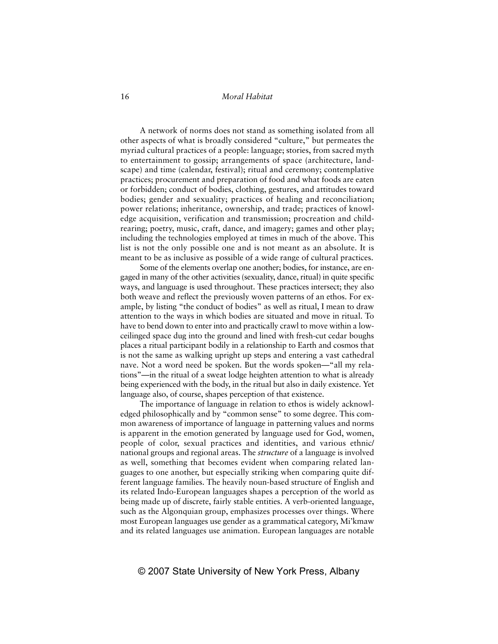#### 16 *Moral Habitat*

A network of norms does not stand as something isolated from all other aspects of what is broadly considered "culture," but permeates the myriad cultural practices of a people: language; stories, from sacred myth to entertainment to gossip; arrangements of space (architecture, landscape) and time (calendar, festival); ritual and ceremony; contemplative practices; procurement and preparation of food and what foods are eaten or forbidden; conduct of bodies, clothing, gestures, and attitudes toward bodies; gender and sexuality; practices of healing and reconciliation; power relations; inheritance, ownership, and trade; practices of knowledge acquisition, verification and transmission; procreation and childrearing; poetry, music, craft, dance, and imagery; games and other play; including the technologies employed at times in much of the above. This list is not the only possible one and is not meant as an absolute. It is meant to be as inclusive as possible of a wide range of cultural practices.

Some of the elements overlap one another; bodies, for instance, are engaged in many of the other activities (sexuality, dance, ritual) in quite specific ways, and language is used throughout. These practices intersect; they also both weave and reflect the previously woven patterns of an ethos. For example, by listing "the conduct of bodies" as well as ritual, I mean to draw attention to the ways in which bodies are situated and move in ritual. To have to bend down to enter into and practically crawl to move within a lowceilinged space dug into the ground and lined with fresh-cut cedar boughs places a ritual participant bodily in a relationship to Earth and cosmos that is not the same as walking upright up steps and entering a vast cathedral nave. Not a word need be spoken. But the words spoken—"all my relations"—in the ritual of a sweat lodge heighten attention to what is already being experienced with the body, in the ritual but also in daily existence. Yet language also, of course, shapes perception of that existence.

The importance of language in relation to ethos is widely acknowledged philosophically and by "common sense" to some degree. This common awareness of importance of language in patterning values and norms is apparent in the emotion generated by language used for God, women, people of color, sexual practices and identities, and various ethnic/ national groups and regional areas. The *structure* of a language is involved as well, something that becomes evident when comparing related languages to one another, but especially striking when comparing quite different language families. The heavily noun-based structure of English and its related Indo-European languages shapes a perception of the world as being made up of discrete, fairly stable entities. A verb-oriented language, such as the Algonquian group, emphasizes processes over things. Where most European languages use gender as a grammatical category, Mi'kmaw and its related languages use animation. European languages are notable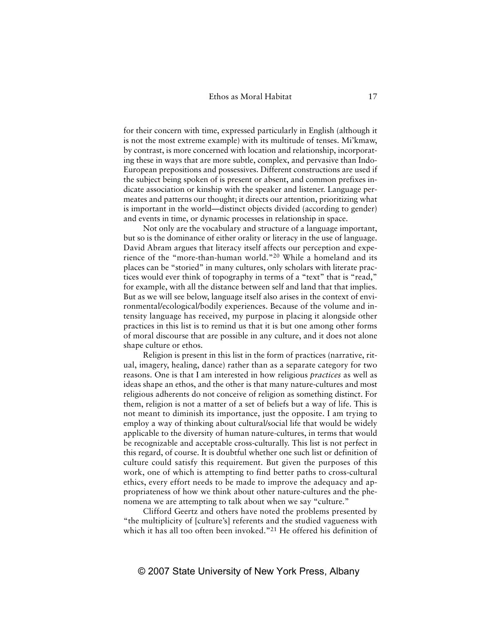for their concern with time, expressed particularly in English (although it is not the most extreme example) with its multitude of tenses. Mi'kmaw, by contrast, is more concerned with location and relationship, incorporating these in ways that are more subtle, complex, and pervasive than Indo-European prepositions and possessives. Different constructions are used if the subject being spoken of is present or absent, and common prefixes indicate association or kinship with the speaker and listener. Language permeates and patterns our thought; it directs our attention, prioritizing what is important in the world—distinct objects divided (according to gender) and events in time, or dynamic processes in relationship in space.

Not only are the vocabulary and structure of a language important, but so is the dominance of either orality or literacy in the use of language. David Abram argues that literacy itself affects our perception and experience of the "more-than-human world."20 While a homeland and its places can be "storied" in many cultures, only scholars with literate practices would ever think of topography in terms of a "text" that is "read," for example, with all the distance between self and land that that implies. But as we will see below, language itself also arises in the context of environmental/ecological/bodily experiences. Because of the volume and intensity language has received, my purpose in placing it alongside other practices in this list is to remind us that it is but one among other forms of moral discourse that are possible in any culture, and it does not alone shape culture or ethos.

Religion is present in this list in the form of practices (narrative, ritual, imagery, healing, dance) rather than as a separate category for two reasons. One is that I am interested in how religious *practices* as well as ideas shape an ethos, and the other is that many nature-cultures and most religious adherents do not conceive of religion as something distinct. For them, religion is not a matter of a set of beliefs but a way of life. This is not meant to diminish its importance, just the opposite. I am trying to employ a way of thinking about cultural/social life that would be widely applicable to the diversity of human nature-cultures, in terms that would be recognizable and acceptable cross-culturally. This list is not perfect in this regard, of course. It is doubtful whether one such list or definition of culture could satisfy this requirement. But given the purposes of this work, one of which is attempting to find better paths to cross-cultural ethics, every effort needs to be made to improve the adequacy and appropriateness of how we think about other nature-cultures and the phenomena we are attempting to talk about when we say "culture."

Clifford Geertz and others have noted the problems presented by "the multiplicity of [culture's] referents and the studied vagueness with which it has all too often been invoked."<sup>21</sup> He offered his definition of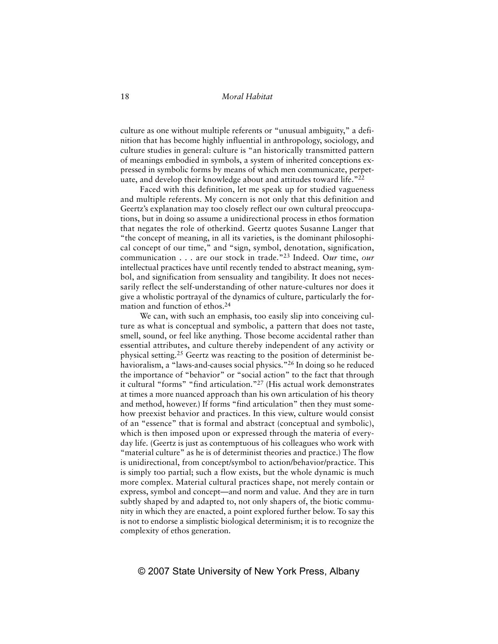culture as one without multiple referents or "unusual ambiguity," a definition that has become highly influential in anthropology, sociology, and culture studies in general: culture is "an historically transmitted pattern of meanings embodied in symbols, a system of inherited conceptions expressed in symbolic forms by means of which men communicate, perpetuate, and develop their knowledge about and attitudes toward life."22

Faced with this definition, let me speak up for studied vagueness and multiple referents. My concern is not only that this definition and Geertz's explanation may too closely reflect our own cultural preoccupations, but in doing so assume a unidirectional process in ethos formation that negates the role of otherkind. Geertz quotes Susanne Langer that "the concept of meaning, in all its varieties, is the dominant philosophical concept of our time," and "sign, symbol, denotation, signification, communication . . . are our stock in trade."23 Indeed. O*ur* time, *our* intellectual practices have until recently tended to abstract meaning, symbol, and signification from sensuality and tangibility. It does not necessarily reflect the self-understanding of other nature-cultures nor does it give a wholistic portrayal of the dynamics of culture, particularly the formation and function of ethos.24

We can, with such an emphasis, too easily slip into conceiving culture as what is conceptual and symbolic, a pattern that does not taste, smell, sound, or feel like anything. Those become accidental rather than essential attributes, and culture thereby independent of any activity or physical setting.25 Geertz was reacting to the position of determinist behavioralism, a "laws-and-causes social physics."26 In doing so he reduced the importance of "behavior" or "social action" to the fact that through it cultural "forms" "find articulation."27 (His actual work demonstrates at times a more nuanced approach than his own articulation of his theory and method, however.) If forms "find articulation" then they must somehow preexist behavior and practices. In this view, culture would consist of an "essence" that is formal and abstract (conceptual and symbolic), which is then imposed upon or expressed through the materia of everyday life. (Geertz is just as contemptuous of his colleagues who work with "material culture" as he is of determinist theories and practice.) The flow is unidirectional, from concept/symbol to action/behavior/practice. This is simply too partial; such a flow exists, but the whole dynamic is much more complex. Material cultural practices shape, not merely contain or express, symbol and concept—and norm and value. And they are in turn subtly shaped by and adapted to, not only shapers of, the biotic community in which they are enacted, a point explored further below. To say this is not to endorse a simplistic biological determinism; it is to recognize the complexity of ethos generation.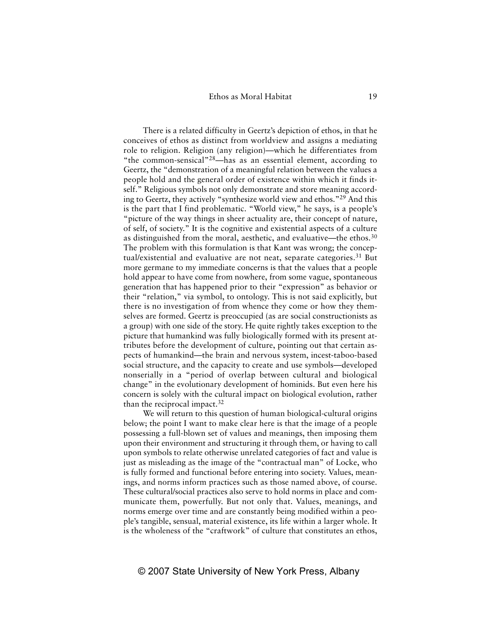There is a related difficulty in Geertz's depiction of ethos, in that he conceives of ethos as distinct from worldview and assigns a mediating role to religion. Religion (any religion)—which he differentiates from "the common-sensical"28—has as an essential element, according to Geertz, the "demonstration of a meaningful relation between the values a people hold and the general order of existence within which it finds itself." Religious symbols not only demonstrate and store meaning according to Geertz, they actively "synthesize world view and ethos."29 And this is the part that I find problematic. "World view," he says, is a people's "picture of the way things in sheer actuality are, their concept of nature, of self, of society." It is the cognitive and existential aspects of a culture as distinguished from the moral, aesthetic, and evaluative—the ethos.30 The problem with this formulation is that Kant was wrong; the conceptual/existential and evaluative are not neat, separate categories.<sup>31</sup> But more germane to my immediate concerns is that the values that a people hold appear to have come from nowhere, from some vague, spontaneous generation that has happened prior to their "expression" as behavior or their "relation," via symbol, to ontology. This is not said explicitly, but there is no investigation of from whence they come or how they themselves are formed. Geertz is preoccupied (as are social constructionists as a group) with one side of the story. He quite rightly takes exception to the picture that humankind was fully biologically formed with its present attributes before the development of culture, pointing out that certain aspects of humankind—the brain and nervous system, incest-taboo-based social structure, and the capacity to create and use symbols—developed nonserially in a "period of overlap between cultural and biological change" in the evolutionary development of hominids. But even here his concern is solely with the cultural impact on biological evolution, rather than the reciprocal impact.32

We will return to this question of human biological-cultural origins below; the point I want to make clear here is that the image of a people possessing a full-blown set of values and meanings, then imposing them upon their environment and structuring it through them, or having to call upon symbols to relate otherwise unrelated categories of fact and value is just as misleading as the image of the "contractual man" of Locke, who is fully formed and functional before entering into society. Values, meanings, and norms inform practices such as those named above, of course. These cultural/social practices also serve to hold norms in place and communicate them, powerfully. But not only that. Values, meanings, and norms emerge over time and are constantly being modified within a people's tangible, sensual, material existence, its life within a larger whole. It is the wholeness of the "craftwork" of culture that constitutes an ethos,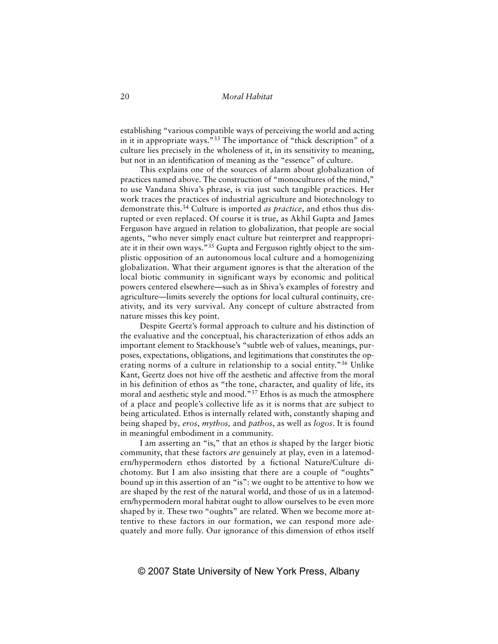establishing "various compatible ways of perceiving the world and acting in it in appropriate ways."33 The importance of "thick description" of a culture lies precisely in the wholeness of it, in its sensitivity to meaning, but not in an identification of meaning as the "essence" of culture.

This explains one of the sources of alarm about globalization of practices named above. The construction of "monocultures of the mind," to use Vandana Shiva's phrase, is via just such tangible practices. Her work traces the practices of industrial agriculture and biotechnology to demonstrate this.34 Culture is imported *as practice*, and ethos thus disrupted or even replaced. Of course it is true, as Akhil Gupta and James Ferguson have argued in relation to globalization, that people are social agents, "who never simply enact culture but reinterpret and reappropriate it in their own ways."35 Gupta and Ferguson rightly object to the simplistic opposition of an autonomous local culture and a homogenizing globalization. What their argument ignores is that the alteration of the local biotic community in significant ways by economic and political powers centered elsewhere—such as in Shiva's examples of forestry and agriculture—limits severely the options for local cultural continuity, creativity, and its very survival. Any concept of culture abstracted from nature misses this key point.

Despite Geertz's formal approach to culture and his distinction of the evaluative and the conceptual, his characterization of ethos adds an important element to Stackhouse's "subtle web of values, meanings, purposes, expectations, obligations, and legitimations that constitutes the operating norms of a culture in relationship to a social entity."36 Unlike Kant, Geertz does not hive off the aesthetic and affective from the moral in his definition of ethos as "the tone, character, and quality of life, its moral and aesthetic style and mood."37 Ethos is as much the atmosphere of a place and people's collective life as it is norms that are subject to being articulated. Ethos is internally related with, constantly shaping and being shaped by*, eros*, *mythos,* and *pathos*, as well as *logos*. It is found in meaningful embodiment in a community.

I am asserting an "is," that an ethos *is* shaped by the larger biotic community, that these factors *are* genuinely at play, even in a latemodern/hypermodern ethos distorted by a fictional Nature/Culture dichotomy. But I am also insisting that there are a couple of "oughts" bound up in this assertion of an "is": we ought to be attentive to how we are shaped by the rest of the natural world, and those of us in a latemodern/hypermodern moral habitat ought to allow ourselves to be even more shaped by it. These two "oughts" are related. When we become more attentive to these factors in our formation, we can respond more adequately and more fully. Our ignorance of this dimension of ethos itself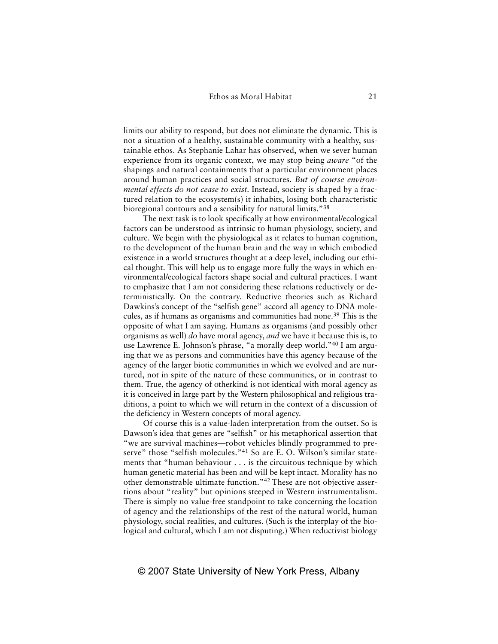limits our ability to respond, but does not eliminate the dynamic. This is not a situation of a healthy, sustainable community with a healthy, sustainable ethos. As Stephanie Lahar has observed, when we sever human experience from its organic context, we may stop being *aware* "of the shapings and natural containments that a particular environment places around human practices and social structures. *But of course environmental effects do not cease to exist.* Instead, society is shaped by a fractured relation to the ecosystem(s) it inhabits, losing both characteristic bioregional contours and a sensibility for natural limits."38

The next task is to look specifically at how environmental/ecological factors can be understood as intrinsic to human physiology, society, and culture. We begin with the physiological as it relates to human cognition, to the development of the human brain and the way in which embodied existence in a world structures thought at a deep level, including our ethical thought. This will help us to engage more fully the ways in which environmental/ecological factors shape social and cultural practices. I want to emphasize that I am not considering these relations reductively or deterministically. On the contrary. Reductive theories such as Richard Dawkins's concept of the "selfish gene" accord all agency to DNA molecules, as if humans as organisms and communities had none.39 This is the opposite of what I am saying. Humans as organisms (and possibly other organisms as well) *do* have moral agency, *and* we have it because this is, to use Lawrence E. Johnson's phrase, "a morally deep world."40 I am arguing that we as persons and communities have this agency because of the agency of the larger biotic communities in which we evolved and are nurtured, not in spite of the nature of these communities, or in contrast to them. True, the agency of otherkind is not identical with moral agency as it is conceived in large part by the Western philosophical and religious traditions, a point to which we will return in the context of a discussion of the deficiency in Western concepts of moral agency.

Of course this is a value-laden interpretation from the outset. So is Dawson's idea that genes are "selfish" or his metaphorical assertion that "we are survival machines—robot vehicles blindly programmed to preserve" those "selfish molecules."41 So are E. O. Wilson's similar statements that "human behaviour . . . is the circuitous technique by which human genetic material has been and will be kept intact. Morality has no other demonstrable ultimate function."42 These are not objective assertions about "reality" but opinions steeped in Western instrumentalism. There is simply no value-free standpoint to take concerning the location of agency and the relationships of the rest of the natural world, human physiology, social realities, and cultures. (Such is the interplay of the biological and cultural, which I am not disputing.) When reductivist biology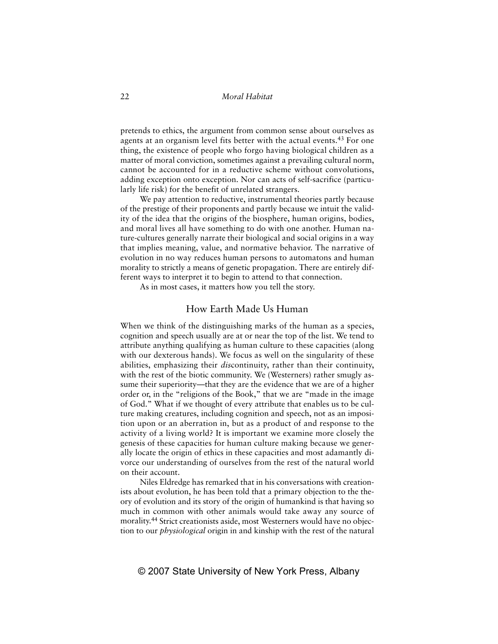pretends to ethics, the argument from common sense about ourselves as agents at an organism level fits better with the actual events.43 For one thing, the existence of people who forgo having biological children as a matter of moral conviction, sometimes against a prevailing cultural norm, cannot be accounted for in a reductive scheme without convolutions, adding exception onto exception. Nor can acts of self-sacrifice (particularly life risk) for the benefit of unrelated strangers.

We pay attention to reductive, instrumental theories partly because of the prestige of their proponents and partly because we intuit the validity of the idea that the origins of the biosphere, human origins, bodies, and moral lives all have something to do with one another. Human nature-cultures generally narrate their biological and social origins in a way that implies meaning, value, and normative behavior. The narrative of evolution in no way reduces human persons to automatons and human morality to strictly a means of genetic propagation. There are entirely different ways to interpret it to begin to attend to that connection.

As in most cases, it matters how you tell the story.

#### How Earth Made Us Human

When we think of the distinguishing marks of the human as a species, cognition and speech usually are at or near the top of the list. We tend to attribute anything qualifying as human culture to these capacities (along with our dexterous hands). We focus as well on the singularity of these abilities, emphasizing their *dis*continuity, rather than their continuity, with the rest of the biotic community. We (Westerners) rather smugly assume their superiority—that they are the evidence that we are of a higher order or, in the "religions of the Book," that we are "made in the image of God." What if we thought of every attribute that enables us to be culture making creatures, including cognition and speech, not as an imposition upon or an aberration in, but as a product of and response to the activity of a living world? It is important we examine more closely the genesis of these capacities for human culture making because we generally locate the origin of ethics in these capacities and most adamantly divorce our understanding of ourselves from the rest of the natural world on their account.

Niles Eldredge has remarked that in his conversations with creationists about evolution, he has been told that a primary objection to the theory of evolution and its story of the origin of humankind is that having so much in common with other animals would take away any source of morality.44 Strict creationists aside, most Westerners would have no objection to our *physiological* origin in and kinship with the rest of the natural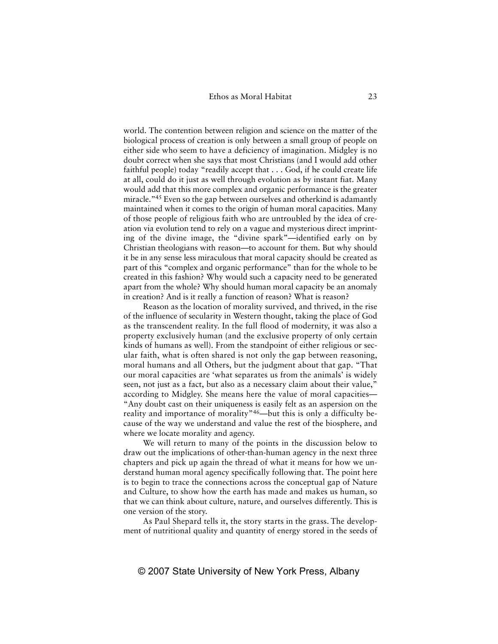world. The contention between religion and science on the matter of the biological process of creation is only between a small group of people on either side who seem to have a deficiency of imagination. Midgley is no doubt correct when she says that most Christians (and I would add other faithful people) today "readily accept that . . . God, if he could create life at all, could do it just as well through evolution as by instant fiat. Many would add that this more complex and organic performance is the greater miracle."45 Even so the gap between ourselves and otherkind is adamantly maintained when it comes to the origin of human moral capacities. Many of those people of religious faith who are untroubled by the idea of creation via evolution tend to rely on a vague and mysterious direct imprinting of the divine image, the "divine spark"—identified early on by Christian theologians with reason—to account for them. But why should it be in any sense less miraculous that moral capacity should be created as part of this "complex and organic performance" than for the whole to be created in this fashion? Why would such a capacity need to be generated apart from the whole? Why should human moral capacity be an anomaly in creation? And is it really a function of reason? What is reason?

Reason as the location of morality survived, and thrived, in the rise of the influence of secularity in Western thought, taking the place of God as the transcendent reality. In the full flood of modernity, it was also a property exclusively human (and the exclusive property of only certain kinds of humans as well). From the standpoint of either religious or secular faith, what is often shared is not only the gap between reasoning, moral humans and all Others, but the judgment about that gap. "That our moral capacities are 'what separates us from the animals' is widely seen, not just as a fact, but also as a necessary claim about their value," according to Midgley. She means here the value of moral capacities— "Any doubt cast on their uniqueness is easily felt as an aspersion on the reality and importance of morality<sup>"46</sup>—but this is only a difficulty because of the way we understand and value the rest of the biosphere, and where we locate morality and agency.

We will return to many of the points in the discussion below to draw out the implications of other-than-human agency in the next three chapters and pick up again the thread of what it means for how we understand human moral agency specifically following that. The point here is to begin to trace the connections across the conceptual gap of Nature and Culture, to show how the earth has made and makes us human, so that we can think about culture, nature, and ourselves differently. This is one version of the story.

As Paul Shepard tells it, the story starts in the grass. The development of nutritional quality and quantity of energy stored in the seeds of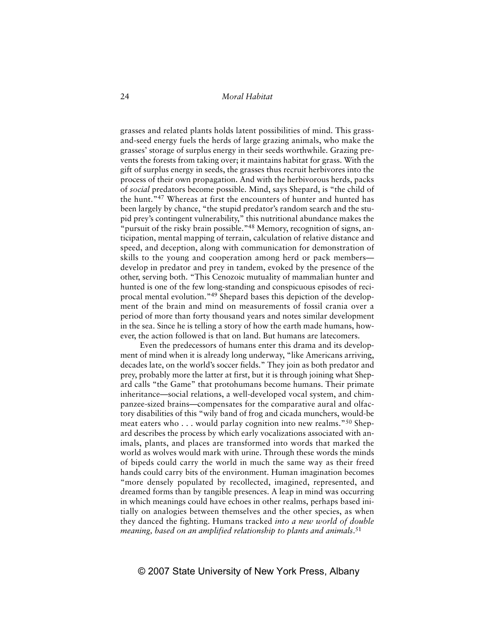grasses and related plants holds latent possibilities of mind. This grassand-seed energy fuels the herds of large grazing animals, who make the grasses' storage of surplus energy in their seeds worthwhile. Grazing prevents the forests from taking over; it maintains habitat for grass. With the gift of surplus energy in seeds, the grasses thus recruit herbivores into the process of their own propagation. And with the herbivorous herds, packs of *social* predators become possible. Mind, says Shepard, is "the child of the hunt."47 Whereas at first the encounters of hunter and hunted has been largely by chance, "the stupid predator's random search and the stupid prey's contingent vulnerability," this nutritional abundance makes the "pursuit of the risky brain possible."48 Memory, recognition of signs, anticipation, mental mapping of terrain, calculation of relative distance and speed, and deception, along with communication for demonstration of skills to the young and cooperation among herd or pack members develop in predator and prey in tandem, evoked by the presence of the other, serving both. "This Cenozoic mutuality of mammalian hunter and hunted is one of the few long-standing and conspicuous episodes of reciprocal mental evolution."49 Shepard bases this depiction of the development of the brain and mind on measurements of fossil crania over a period of more than forty thousand years and notes similar development in the sea. Since he is telling a story of how the earth made humans, however, the action followed is that on land. But humans are latecomers.

Even the predecessors of humans enter this drama and its development of mind when it is already long underway, "like Americans arriving, decades late, on the world's soccer fields." They join as both predator and prey, probably more the latter at first, but it is through joining what Shepard calls "the Game" that protohumans become humans. Their primate inheritance—social relations, a well-developed vocal system, and chimpanzee-sized brains—compensates for the comparative aural and olfactory disabilities of this "wily band of frog and cicada munchers, would-be meat eaters who . . . would parlay cognition into new realms."50 Shepard describes the process by which early vocalizations associated with animals, plants, and places are transformed into words that marked the world as wolves would mark with urine. Through these words the minds of bipeds could carry the world in much the same way as their freed hands could carry bits of the environment. Human imagination becomes "more densely populated by recollected, imagined, represented, and dreamed forms than by tangible presences. A leap in mind was occurring in which meanings could have echoes in other realms, perhaps based initially on analogies between themselves and the other species, as when they danced the fighting. Humans tracked *into a new world of double meaning, based on an amplified relationship to plants and animals*. 51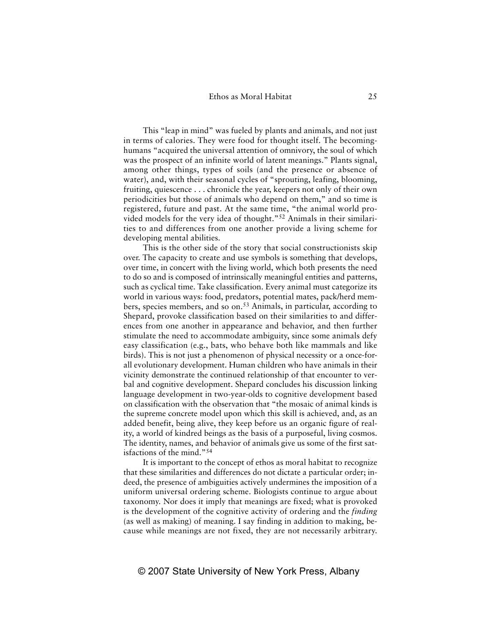This "leap in mind" was fueled by plants and animals, and not just in terms of calories. They were food for thought itself. The becominghumans "acquired the universal attention of omnivory, the soul of which was the prospect of an infinite world of latent meanings." Plants signal, among other things, types of soils (and the presence or absence of water), and, with their seasonal cycles of "sprouting, leafing, blooming, fruiting, quiescence . . . chronicle the year, keepers not only of their own periodicities but those of animals who depend on them," and so time is registered, future and past. At the same time, "the animal world provided models for the very idea of thought."52 Animals in their similarities to and differences from one another provide a living scheme for developing mental abilities.

This is the other side of the story that social constructionists skip over. The capacity to create and use symbols is something that develops, over time, in concert with the living world, which both presents the need to do so and is composed of intrinsically meaningful entities and patterns, such as cyclical time. Take classification. Every animal must categorize its world in various ways: food, predators, potential mates, pack/herd members, species members, and so on.53 Animals, in particular, according to Shepard, provoke classification based on their similarities to and differences from one another in appearance and behavior, and then further stimulate the need to accommodate ambiguity, since some animals defy easy classification (e.g., bats, who behave both like mammals and like birds). This is not just a phenomenon of physical necessity or a once-forall evolutionary development. Human children who have animals in their vicinity demonstrate the continued relationship of that encounter to verbal and cognitive development. Shepard concludes his discussion linking language development in two-year-olds to cognitive development based on classification with the observation that "the mosaic of animal kinds is the supreme concrete model upon which this skill is achieved, and, as an added benefit, being alive, they keep before us an organic figure of reality, a world of kindred beings as the basis of a purposeful, living cosmos. The identity, names, and behavior of animals give us some of the first satisfactions of the mind."54

It is important to the concept of ethos as moral habitat to recognize that these similarities and differences do not dictate a particular order; indeed, the presence of ambiguities actively undermines the imposition of a uniform universal ordering scheme. Biologists continue to argue about taxonomy. Nor does it imply that meanings are fixed; what is provoked is the development of the cognitive activity of ordering and the *finding* (as well as making) of meaning. I say finding in addition to making, because while meanings are not fixed, they are not necessarily arbitrary.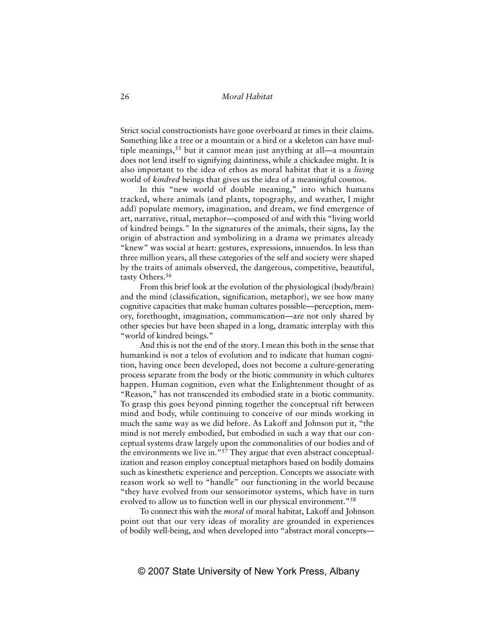Strict social constructionists have gone overboard at times in their claims. Something like a tree or a mountain or a bird or a skeleton can have multiple meanings,  $55$  but it cannot mean just anything at all—a mountain does not lend itself to signifying daintiness, while a chickadee might. It is also important to the idea of ethos as moral habitat that it is a *living* world of *kindred* beings that gives us the idea of a meaningful cosmos.

In this "new world of double meaning," into which humans tracked, where animals (and plants, topography, and weather, I might add) populate memory, imagination, and dream, we find emergence of art, narrative, ritual, metaphor—composed of and with this "living world of kindred beings." In the signatures of the animals, their signs, lay the origin of abstraction and symbolizing in a drama we primates already "knew" was social at heart: gestures, expressions, innuendos. In less than three million years, all these categories of the self and society were shaped by the traits of animals observed, the dangerous, competitive, beautiful, tasty Others.<sup>56</sup>

From this brief look at the evolution of the physiological (body/brain) and the mind (classification, signification, metaphor), we see how many cognitive capacities that make human cultures possible—perception, memory, forethought, imagination, communication—are not only shared by other species but have been shaped in a long, dramatic interplay with this "world of kindred beings."

And this is not the end of the story. I mean this both in the sense that humankind is not a telos of evolution and to indicate that human cognition, having once been developed, does not become a culture-generating process separate from the body or the biotic community in which cultures happen. Human cognition, even what the Enlightenment thought of as "Reason," has not transcended its embodied state in a biotic community. To grasp this goes beyond pinning together the conceptual rift between mind and body, while continuing to conceive of our minds working in much the same way as we did before. As Lakoff and Johnson put it, "the mind is not merely embodied, but embodied in such a way that our conceptual systems draw largely upon the commonalities of our bodies and of the environments we live in."57 They argue that even abstract conceptualization and reason employ conceptual metaphors based on bodily domains such as kinesthetic experience and perception. Concepts we associate with reason work so well to "handle" our functioning in the world because "they have evolved from our sensorimotor systems, which have in turn evolved to allow us to function well in our physical environment."58

To connect this with the *moral* of moral habitat, Lakoff and Johnson point out that our very ideas of morality are grounded in experiences of bodily well-being, and when developed into "abstract moral concepts—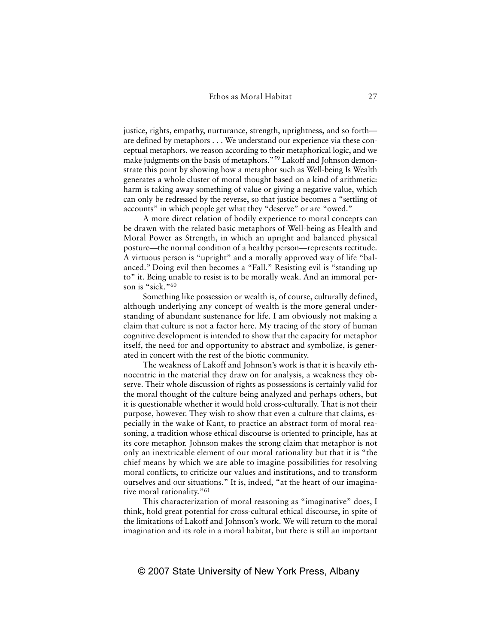justice, rights, empathy, nurturance, strength, uprightness, and so forth are defined by metaphors . . . We understand our experience via these conceptual metaphors, we reason according to their metaphorical logic, and we make judgments on the basis of metaphors."59 Lakoff and Johnson demonstrate this point by showing how a metaphor such as Well-being Is Wealth generates a whole cluster of moral thought based on a kind of arithmetic: harm is taking away something of value or giving a negative value, which can only be redressed by the reverse, so that justice becomes a "settling of accounts" in which people get what they "deserve" or are "owed."

A more direct relation of bodily experience to moral concepts can be drawn with the related basic metaphors of Well-being as Health and Moral Power as Strength, in which an upright and balanced physical posture—the normal condition of a healthy person—represents rectitude. A virtuous person is "upright" and a morally approved way of life "balanced." Doing evil then becomes a "Fall." Resisting evil is "standing up to" it. Being unable to resist is to be morally weak. And an immoral person is "sick."<sup>60</sup>

Something like possession or wealth is, of course, culturally defined, although underlying any concept of wealth is the more general understanding of abundant sustenance for life. I am obviously not making a claim that culture is not a factor here. My tracing of the story of human cognitive development is intended to show that the capacity for metaphor itself, the need for and opportunity to abstract and symbolize, is generated in concert with the rest of the biotic community.

The weakness of Lakoff and Johnson's work is that it is heavily ethnocentric in the material they draw on for analysis, a weakness they observe. Their whole discussion of rights as possessions is certainly valid for the moral thought of the culture being analyzed and perhaps others, but it is questionable whether it would hold cross-culturally. That is not their purpose, however. They wish to show that even a culture that claims, especially in the wake of Kant, to practice an abstract form of moral reasoning, a tradition whose ethical discourse is oriented to principle, has at its core metaphor. Johnson makes the strong claim that metaphor is not only an inextricable element of our moral rationality but that it is "the chief means by which we are able to imagine possibilities for resolving moral conflicts, to criticize our values and institutions, and to transform ourselves and our situations." It is, indeed, "at the heart of our imaginative moral rationality."61

This characterization of moral reasoning as "imaginative" does, I think, hold great potential for cross-cultural ethical discourse, in spite of the limitations of Lakoff and Johnson's work. We will return to the moral imagination and its role in a moral habitat, but there is still an important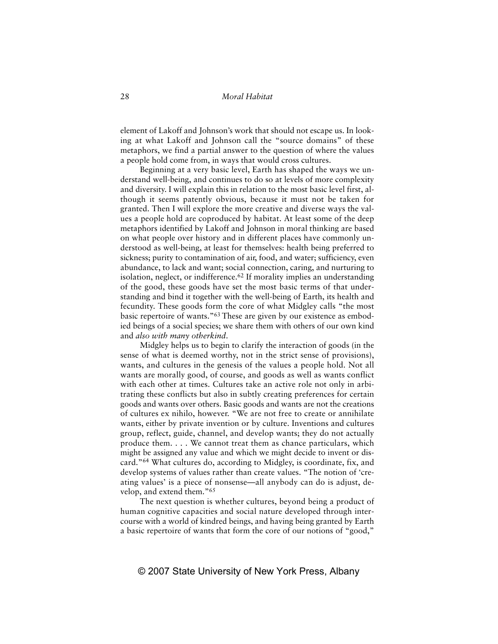element of Lakoff and Johnson's work that should not escape us. In looking at what Lakoff and Johnson call the "source domains" of these metaphors, we find a partial answer to the question of where the values a people hold come from, in ways that would cross cultures.

Beginning at a very basic level, Earth has shaped the ways we understand well-being, and continues to do so at levels of more complexity and diversity. I will explain this in relation to the most basic level first, although it seems patently obvious, because it must not be taken for granted. Then I will explore the more creative and diverse ways the values a people hold are coproduced by habitat. At least some of the deep metaphors identified by Lakoff and Johnson in moral thinking are based on what people over history and in different places have commonly understood as well-being, at least for themselves: health being preferred to sickness; purity to contamination of air, food, and water; sufficiency, even abundance, to lack and want; social connection, caring, and nurturing to isolation, neglect, or indifference.<sup>62</sup> If morality implies an understanding of the good, these goods have set the most basic terms of that understanding and bind it together with the well-being of Earth, its health and fecundity. These goods form the core of what Midgley calls "the most basic repertoire of wants."63 These are given by our existence as embodied beings of a social species; we share them with others of our own kind and *also with many otherkind*.

Midgley helps us to begin to clarify the interaction of goods (in the sense of what is deemed worthy, not in the strict sense of provisions), wants, and cultures in the genesis of the values a people hold. Not all wants are morally good, of course, and goods as well as wants conflict with each other at times. Cultures take an active role not only in arbitrating these conflicts but also in subtly creating preferences for certain goods and wants over others. Basic goods and wants are not the creations of cultures ex nihilo, however. "We are not free to create or annihilate wants, either by private invention or by culture. Inventions and cultures group, reflect, guide, channel, and develop wants; they do not actually produce them. . . . We cannot treat them as chance particulars, which might be assigned any value and which we might decide to invent or discard."64 What cultures do, according to Midgley, is coordinate, fix, and develop systems of values rather than create values. "The notion of 'creating values' is a piece of nonsense—all anybody can do is adjust, develop, and extend them."65

The next question is whether cultures, beyond being a product of human cognitive capacities and social nature developed through intercourse with a world of kindred beings, and having being granted by Earth a basic repertoire of wants that form the core of our notions of "good,"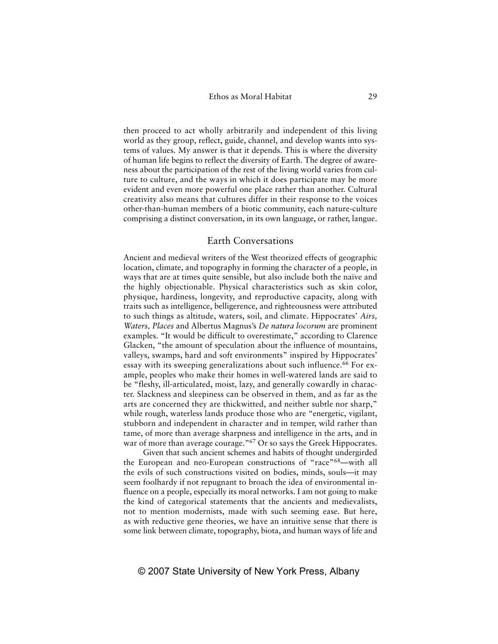then proceed to act wholly arbitrarily and independent of this living world as they group, reflect, guide, channel, and develop wants into systems of values. My answer is that it depends. This is where the diversity of human life begins to reflect the diversity of Earth. The degree of awareness about the participation of the rest of the living world varies from culture to culture, and the ways in which it does participate may be more evident and even more powerful one place rather than another. Cultural creativity also means that cultures differ in their response to the voices other-than-human members of a biotic community, each nature-culture comprising a distinct conversation, in its own language, or rather, langue.

# Earth Conversations

Ancient and medieval writers of the West theorized effects of geographic location, climate, and topography in forming the character of a people, in ways that are at times quite sensible, but also include both the naïve and the highly objectionable. Physical characteristics such as skin color, physique, hardiness, longevity, and reproductive capacity, along with traits such as intelligence, belligerence, and righteousness were attributed to such things as altitude, waters, soil, and climate. Hippocrates' *Airs, Waters, Places* and Albertus Magnus's *De natura locorum* are prominent examples. "It would be difficult to overestimate," according to Clarence Glacken, "the amount of speculation about the influence of mountains, valleys, swamps, hard and soft environments" inspired by Hippocrates' essay with its sweeping generalizations about such influence.66 For example, peoples who make their homes in well-watered lands are said to be "fleshy, ill-articulated, moist, lazy, and generally cowardly in character. Slackness and sleepiness can be observed in them, and as far as the arts are concerned they are thickwitted, and neither subtle nor sharp," while rough, waterless lands produce those who are "energetic, vigilant, stubborn and independent in character and in temper, wild rather than tame, of more than average sharpness and intelligence in the arts, and in war of more than average courage."<sup>67</sup> Or so says the Greek Hippocrates.

Given that such ancient schemes and habits of thought undergirded the European and neo-European constructions of "race"68—with all the evils of such constructions visited on bodies, minds, souls—it may seem foolhardy if not repugnant to broach the idea of environmental influence on a people, especially its moral networks. I am not going to make the kind of categorical statements that the ancients and medievalists, not to mention modernists, made with such seeming ease. But here, as with reductive gene theories, we have an intuitive sense that there is some link between climate, topography, biota, and human ways of life and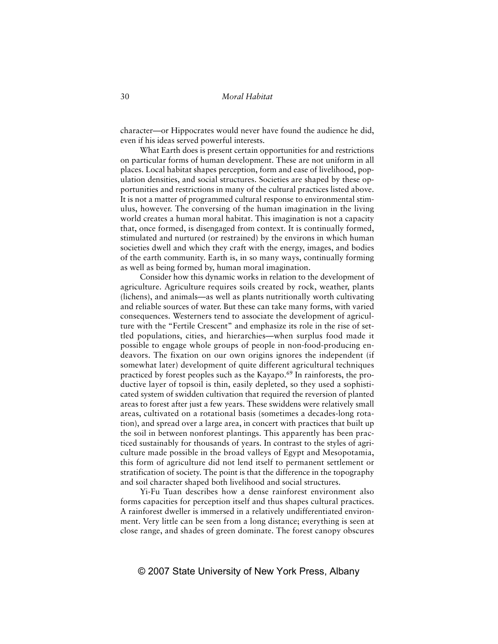character—or Hippocrates would never have found the audience he did, even if his ideas served powerful interests.

What Earth does is present certain opportunities for and restrictions on particular forms of human development. These are not uniform in all places. Local habitat shapes perception, form and ease of livelihood, population densities, and social structures. Societies are shaped by these opportunities and restrictions in many of the cultural practices listed above. It is not a matter of programmed cultural response to environmental stimulus, however. The conversing of the human imagination in the living world creates a human moral habitat. This imagination is not a capacity that, once formed, is disengaged from context. It is continually formed, stimulated and nurtured (or restrained) by the environs in which human societies dwell and which they craft with the energy, images, and bodies of the earth community. Earth is, in so many ways, continually forming as well as being formed by, human moral imagination.

Consider how this dynamic works in relation to the development of agriculture. Agriculture requires soils created by rock, weather, plants (lichens), and animals—as well as plants nutritionally worth cultivating and reliable sources of water. But these can take many forms, with varied consequences. Westerners tend to associate the development of agriculture with the "Fertile Crescent" and emphasize its role in the rise of settled populations, cities, and hierarchies—when surplus food made it possible to engage whole groups of people in non-food-producing endeavors. The fixation on our own origins ignores the independent (if somewhat later) development of quite different agricultural techniques practiced by forest peoples such as the Kayapo.69 In rainforests, the productive layer of topsoil is thin, easily depleted, so they used a sophisticated system of swidden cultivation that required the reversion of planted areas to forest after just a few years. These swiddens were relatively small areas, cultivated on a rotational basis (sometimes a decades-long rotation), and spread over a large area, in concert with practices that built up the soil in between nonforest plantings. This apparently has been practiced sustainably for thousands of years. In contrast to the styles of agriculture made possible in the broad valleys of Egypt and Mesopotamia, this form of agriculture did not lend itself to permanent settlement or stratification of society. The point is that the difference in the topography and soil character shaped both livelihood and social structures.

Yi-Fu Tuan describes how a dense rainforest environment also forms capacities for perception itself and thus shapes cultural practices. A rainforest dweller is immersed in a relatively undifferentiated environment. Very little can be seen from a long distance; everything is seen at close range, and shades of green dominate. The forest canopy obscures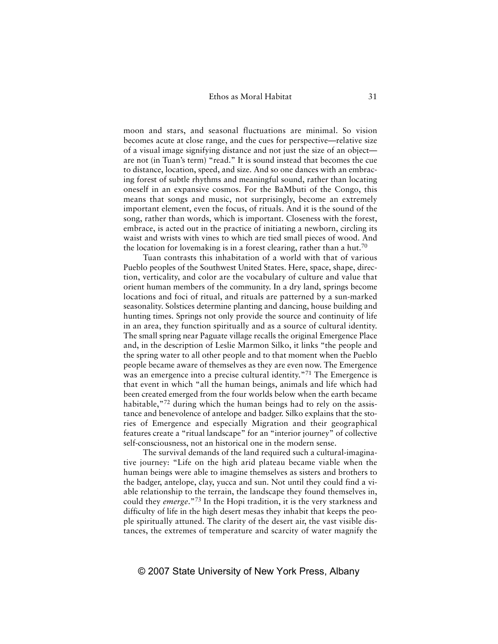moon and stars, and seasonal fluctuations are minimal. So vision becomes acute at close range, and the cues for perspective—relative size of a visual image signifying distance and not just the size of an object are not (in Tuan's term) "read." It is sound instead that becomes the cue to distance, location, speed, and size. And so one dances with an embracing forest of subtle rhythms and meaningful sound, rather than locating oneself in an expansive cosmos. For the BaMbuti of the Congo, this means that songs and music, not surprisingly, become an extremely important element, even the focus, of rituals. And it is the sound of the song, rather than words, which is important. Closeness with the forest, embrace, is acted out in the practice of initiating a newborn, circling its waist and wrists with vines to which are tied small pieces of wood. And the location for lovemaking is in a forest clearing, rather than a hut.<sup>70</sup>

Tuan contrasts this inhabitation of a world with that of various Pueblo peoples of the Southwest United States. Here, space, shape, direction, verticality, and color are the vocabulary of culture and value that orient human members of the community. In a dry land, springs become locations and foci of ritual, and rituals are patterned by a sun-marked seasonality. Solstices determine planting and dancing, house building and hunting times. Springs not only provide the source and continuity of life in an area, they function spiritually and as a source of cultural identity. The small spring near Paguate village recalls the original Emergence Place and, in the description of Leslie Marmon Silko, it links "the people and the spring water to all other people and to that moment when the Pueblo people became aware of themselves as they are even now. The Emergence was an emergence into a precise cultural identity."<sup>71</sup> The Emergence is that event in which "all the human beings, animals and life which had been created emerged from the four worlds below when the earth became habitable,"<sup>72</sup> during which the human beings had to rely on the assistance and benevolence of antelope and badger. Silko explains that the stories of Emergence and especially Migration and their geographical features create a "ritual landscape" for an "interior journey" of collective self-consciousness, not an historical one in the modern sense.

The survival demands of the land required such a cultural-imaginative journey: "Life on the high arid plateau became viable when the human beings were able to imagine themselves as sisters and brothers to the badger, antelope, clay, yucca and sun. Not until they could find a viable relationship to the terrain, the landscape they found themselves in, could they *emerge*."73 In the Hopi tradition, it is the very starkness and difficulty of life in the high desert mesas they inhabit that keeps the people spiritually attuned. The clarity of the desert air, the vast visible distances, the extremes of temperature and scarcity of water magnify the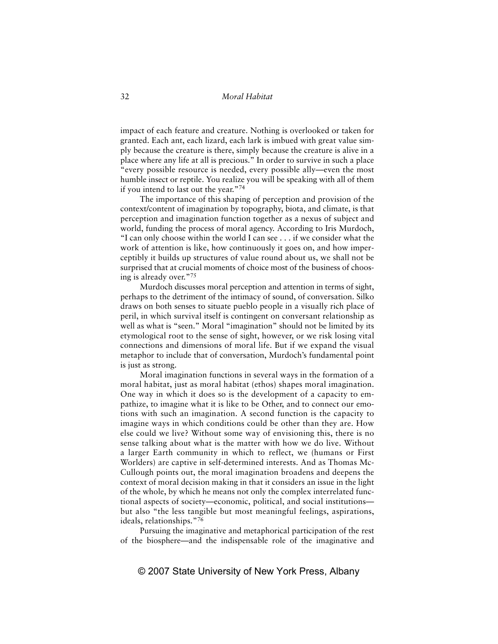impact of each feature and creature. Nothing is overlooked or taken for granted. Each ant, each lizard, each lark is imbued with great value simply because the creature is there, simply because the creature is alive in a place where any life at all is precious." In order to survive in such a place "every possible resource is needed, every possible ally—even the most humble insect or reptile. You realize you will be speaking with all of them if you intend to last out the year."74

The importance of this shaping of perception and provision of the context/content of imagination by topography, biota, and climate, is that perception and imagination function together as a nexus of subject and world, funding the process of moral agency. According to Iris Murdoch, "I can only choose within the world I can see . . . if we consider what the work of attention is like, how continuously it goes on, and how imperceptibly it builds up structures of value round about us, we shall not be surprised that at crucial moments of choice most of the business of choosing is already over."75

Murdoch discusses moral perception and attention in terms of sight, perhaps to the detriment of the intimacy of sound, of conversation. Silko draws on both senses to situate pueblo people in a visually rich place of peril, in which survival itself is contingent on conversant relationship as well as what is "seen." Moral "imagination" should not be limited by its etymological root to the sense of sight, however, or we risk losing vital connections and dimensions of moral life. But if we expand the visual metaphor to include that of conversation, Murdoch's fundamental point is just as strong.

Moral imagination functions in several ways in the formation of a moral habitat, just as moral habitat (ethos) shapes moral imagination. One way in which it does so is the development of a capacity to empathize, to imagine what it is like to be Other, and to connect our emotions with such an imagination. A second function is the capacity to imagine ways in which conditions could be other than they are. How else could we live? Without some way of envisioning this, there is no sense talking about what is the matter with how we do live. Without a larger Earth community in which to reflect, we (humans or First Worlders) are captive in self-determined interests. And as Thomas Mc-Cullough points out, the moral imagination broadens and deepens the context of moral decision making in that it considers an issue in the light of the whole, by which he means not only the complex interrelated functional aspects of society—economic, political, and social institutions but also "the less tangible but most meaningful feelings, aspirations, ideals, relationships."76

Pursuing the imaginative and metaphorical participation of the rest of the biosphere—and the indispensable role of the imaginative and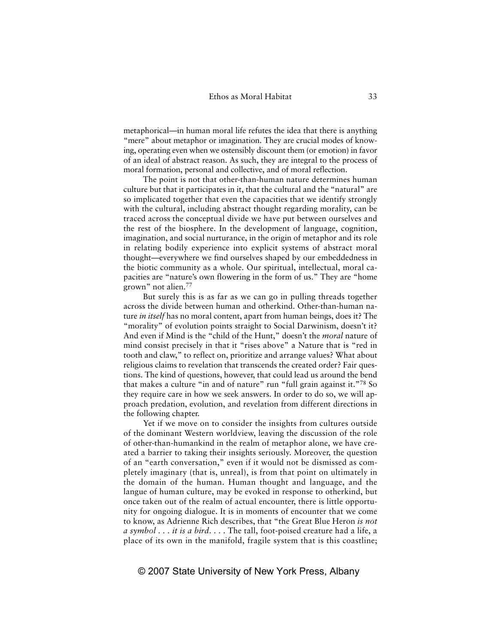metaphorical—in human moral life refutes the idea that there is anything "mere" about metaphor or imagination. They are crucial modes of knowing, operating even when we ostensibly discount them (or emotion) in favor of an ideal of abstract reason. As such, they are integral to the process of moral formation, personal and collective, and of moral reflection.

The point is not that other-than-human nature determines human culture but that it participates in it, that the cultural and the "natural" are so implicated together that even the capacities that we identify strongly with the cultural, including abstract thought regarding morality, can be traced across the conceptual divide we have put between ourselves and the rest of the biosphere. In the development of language, cognition, imagination, and social nurturance, in the origin of metaphor and its role in relating bodily experience into explicit systems of abstract moral thought—everywhere we find ourselves shaped by our embeddedness in the biotic community as a whole. Our spiritual, intellectual, moral capacities are "nature's own flowering in the form of us." They are "home grown" not alien.77

But surely this is as far as we can go in pulling threads together across the divide between human and otherkind. Other-than-human nature *in itself* has no moral content, apart from human beings, does it? The "morality" of evolution points straight to Social Darwinism, doesn't it? And even if Mind is the "child of the Hunt," doesn't the *moral* nature of mind consist precisely in that it "rises above" a Nature that is "red in tooth and claw," to reflect on, prioritize and arrange values? What about religious claims to revelation that transcends the created order? Fair questions. The kind of questions, however, that could lead us around the bend that makes a culture "in and of nature" run "full grain against it."78 So they require care in how we seek answers. In order to do so, we will approach predation, evolution, and revelation from different directions in the following chapter.

Yet if we move on to consider the insights from cultures outside of the dominant Western worldview, leaving the discussion of the role of other-than-humankind in the realm of metaphor alone, we have created a barrier to taking their insights seriously. Moreover, the question of an "earth conversation," even if it would not be dismissed as completely imaginary (that is, unreal), is from that point on ultimately in the domain of the human. Human thought and language, and the langue of human culture, may be evoked in response to otherkind, but once taken out of the realm of actual encounter, there is little opportunity for ongoing dialogue. It is in moments of encounter that we come to know, as Adrienne Rich describes, that "the Great Blue Heron *is not a symbol . . . it is a bird*. . . . The tall, foot-poised creature had a life, a place of its own in the manifold, fragile system that is this coastline;